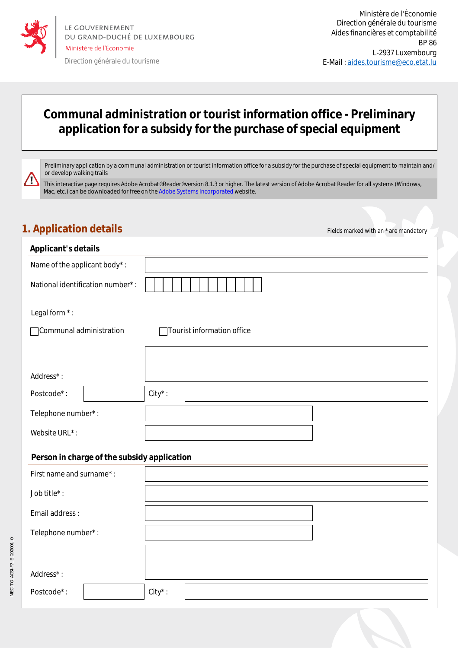

/<u>I</u>\

Direction générale du tourisme

## **Communal administration or tourist information office - Preliminary application for a subsidy for the purchase of special equipment**

Preliminary application by a communal administration or tourist information office for a subsidy for the purchase of special equipment to maintain and/ or develop walking trails

This interactive page requires Adobe Acrobat® Reader® version 8.1.3 or higher. The latest version of Adobe Acrobat Reader for all systems (Windows, Mac, etc.) can be downloaded for free on the Adobe Systems Incorporated website.

## **1. Application details Figure 1. Application details Figure 1. Application details**

| <b>Applicant's details</b>                  |                            |  |  |  |
|---------------------------------------------|----------------------------|--|--|--|
| Name of the applicant body*:                |                            |  |  |  |
| National identification number*:            |                            |  |  |  |
| Legal form *:                               |                            |  |  |  |
| Communal administration                     | Tourist information office |  |  |  |
|                                             |                            |  |  |  |
| Address*:                                   |                            |  |  |  |
| Postcode*:                                  | $City^*$ :                 |  |  |  |
| Telephone number*:                          |                            |  |  |  |
| Website URL*:                               |                            |  |  |  |
| Person in charge of the subsidy application |                            |  |  |  |
| First name and surname*:                    |                            |  |  |  |
| Job title*:                                 |                            |  |  |  |
| Email address:                              |                            |  |  |  |
| Telephone number*:                          |                            |  |  |  |
|                                             |                            |  |  |  |
| Address*:                                   |                            |  |  |  |
| Postcode*:                                  | $City^*$ :                 |  |  |  |